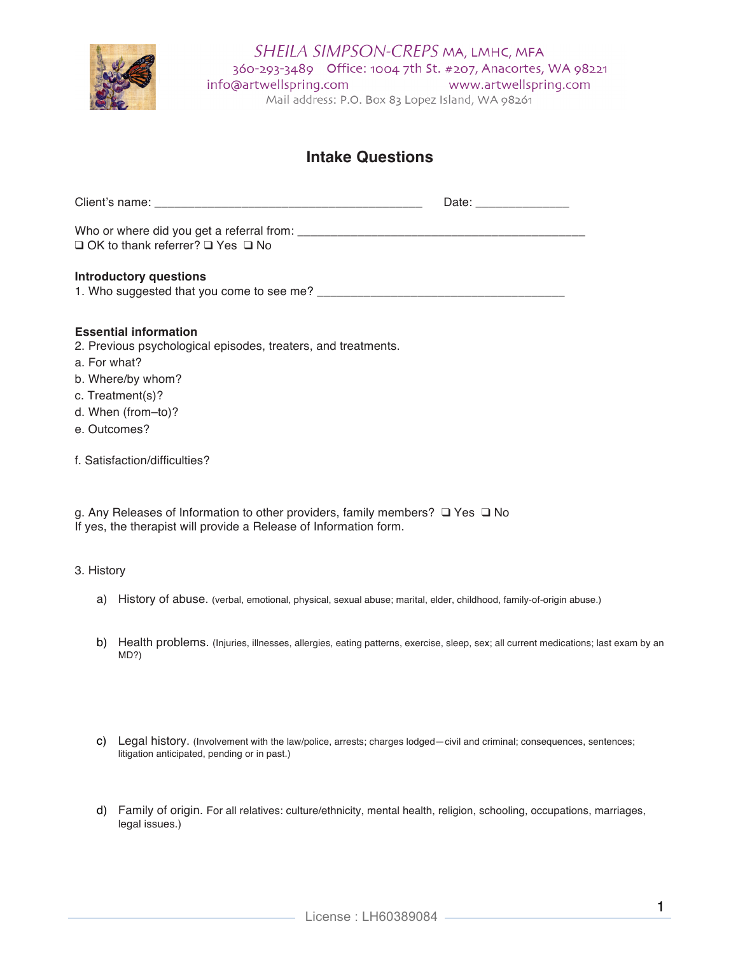

# **Intake Questions**

|                                                   | Date: _______________ |
|---------------------------------------------------|-----------------------|
| $\Box$ OK to thank referrer? $\Box$ Yes $\Box$ No |                       |
| <b>Introductory questions</b>                     |                       |

# **Essential information**

- 2. Previous psychological episodes, treaters, and treatments.
- a. For what?
- b. Where/by whom?
- c. Treatment(s)?
- d. When (from–to)?
- e. Outcomes?
- f. Satisfaction/difficulties?

g. Any Releases of Information to other providers, family members? ❑ Yes ❑ No If yes, the therapist will provide a Release of Information form.

### 3. History

- a) History of abuse. (verbal, emotional, physical, sexual abuse; marital, elder, childhood, family-of-origin abuse.)
- b) Health problems. (Injuries, illnesses, allergies, eating patterns, exercise, sleep, sex; all current medications; last exam by an MD?)
- c) Legal history. (Involvement with the law/police, arrests; charges lodged—civil and criminal; consequences, sentences; litigation anticipated, pending or in past.)
- d) Family of origin. For all relatives: culture/ethnicity, mental health, religion, schooling, occupations, marriages, legal issues.)